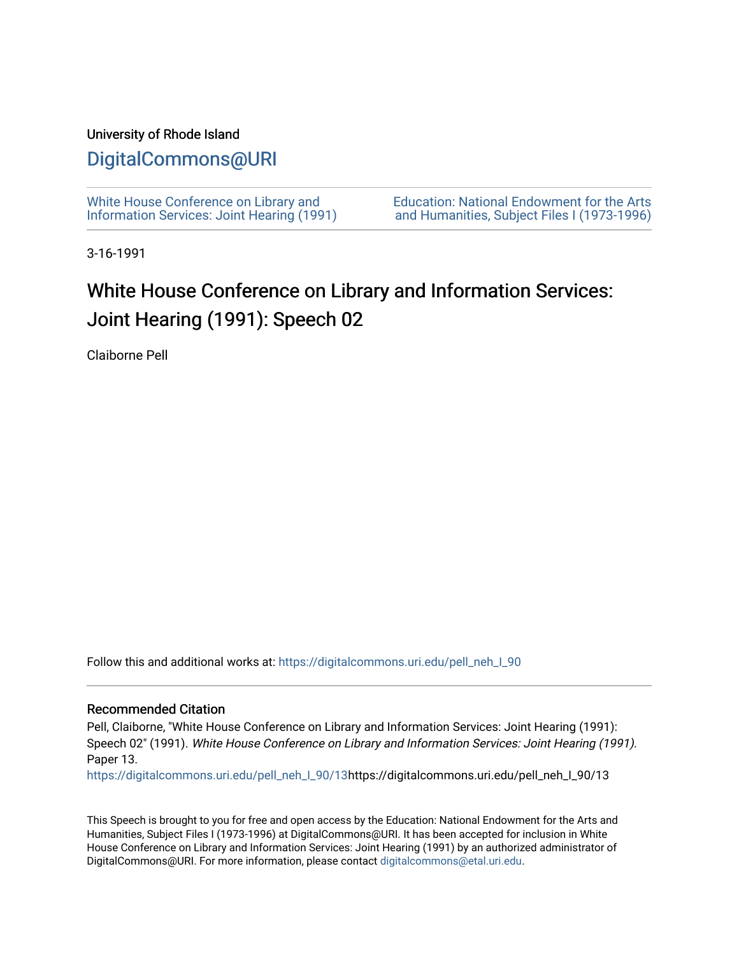## University of Rhode Island

# [DigitalCommons@URI](https://digitalcommons.uri.edu/)

[White House Conference on Library and](https://digitalcommons.uri.edu/pell_neh_I_90) [Information Services: Joint Hearing \(1991\)](https://digitalcommons.uri.edu/pell_neh_I_90) [Education: National Endowment for the Arts](https://digitalcommons.uri.edu/pell_neh_I)  [and Humanities, Subject Files I \(1973-1996\)](https://digitalcommons.uri.edu/pell_neh_I) 

3-16-1991

# White House Conference on Library and Information Services: Joint Hearing (1991): Speech 02

Claiborne Pell

Follow this and additional works at: [https://digitalcommons.uri.edu/pell\\_neh\\_I\\_90](https://digitalcommons.uri.edu/pell_neh_I_90?utm_source=digitalcommons.uri.edu%2Fpell_neh_I_90%2F13&utm_medium=PDF&utm_campaign=PDFCoverPages) 

#### Recommended Citation

Pell, Claiborne, "White House Conference on Library and Information Services: Joint Hearing (1991): Speech 02" (1991). White House Conference on Library and Information Services: Joint Hearing (1991). Paper 13.

[https://digitalcommons.uri.edu/pell\\_neh\\_I\\_90/13h](https://digitalcommons.uri.edu/pell_neh_I_90/13?utm_source=digitalcommons.uri.edu%2Fpell_neh_I_90%2F13&utm_medium=PDF&utm_campaign=PDFCoverPages)ttps://digitalcommons.uri.edu/pell\_neh\_I\_90/13

This Speech is brought to you for free and open access by the Education: National Endowment for the Arts and Humanities, Subject Files I (1973-1996) at DigitalCommons@URI. It has been accepted for inclusion in White House Conference on Library and Information Services: Joint Hearing (1991) by an authorized administrator of DigitalCommons@URI. For more information, please contact [digitalcommons@etal.uri.edu.](mailto:digitalcommons@etal.uri.edu)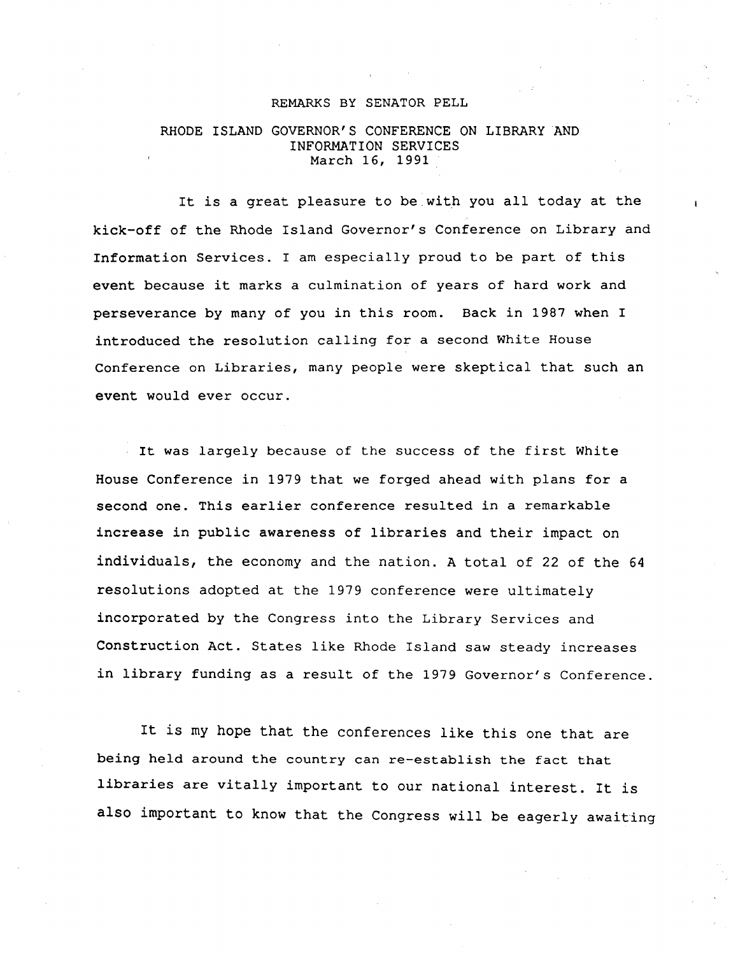#### REMARKS BY SENATOR PELL

### RHODE ISLAND GOVERNOR'S CONFERENCE ON LIBRARY AND INFORMATION SERVICES March 16, 1991

It is a great pleasure to be.with you all today at the kick-off of the Rhode Island Governor's Conference on Library and Information Services. I am especially proud to be part of this event because it marks a culmination of years of hard work and perseverance by many of you in this room. Back in 1987 when I introduced the resolution calling for a second White House Conference on Libraries, many people were skeptical that such an event would ever occur.

It was largely because of the success of the first White House Conference in 1979 that we forged ahead with plans for a second one. This earlier conference resulted in a remarkable increase in public awareness of libraries and their impact on individuals, the economy and the nation. A total of 22 of the 64 resolutions adopted at the 1979 conference were ultimately incorporated by the Congress into the Library Services and Construction Act. States like Rhode Island saw steady increases in library funding as a result of the 1979 Governor's Conference.

It is my hope that the conferences like this one that are being held around the country can re-establish the fact that libraries are vitally important to our national interest. It is also important to know that the Congress will be eagerly awaiting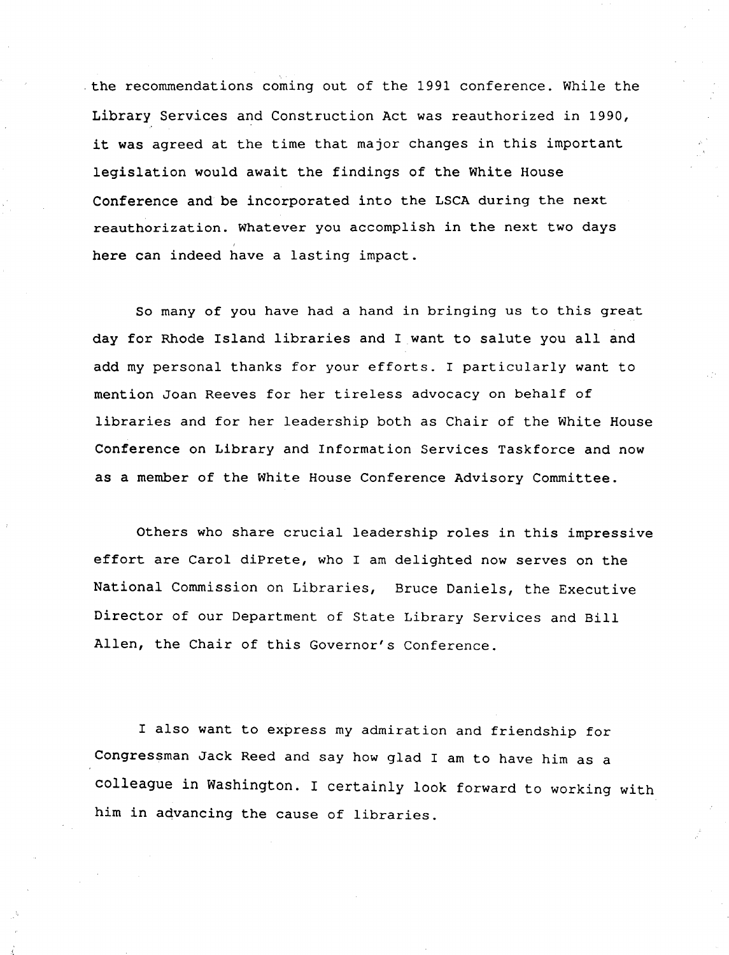the recommendations coming out of the 1991 conference. While the Library Services and Construction Act was reauthorized in 1990, it was agreed at the time that major changes in this important legislation would await the findings of the White House Conference and be incorporated into the LSCA during the next reauthorization. Whatever you accomplish in the next two days here can indeed have a lasting impact.

So many of you have had a hand in bringing us to this great day for Rhode Island libraries and I want to salute you all and add my personal thanks for your efforts. I particularly want to mention Joan Reeves for her tireless advocacy on behalf of libraries and for her leadership both as Chair of the White House Conference on Library and Information Services Taskforce and now as a member of the White House Conference Advisory Committee.

Others who share crucial leadership roles in this impressive effort are Carol diPrete, who I am delighted now serves on the National Commission on Libraries, Bruce Daniels, the Executive Director of our Department of State Library Services and Bill Allen, the Chair of this Governor's Conference.

I also want to express my admiration and friendship for Congressman Jack Reed and say how glad I am to have him as a colleague in Washington. I certainly look forward to working with him in advancing the cause of libraries.